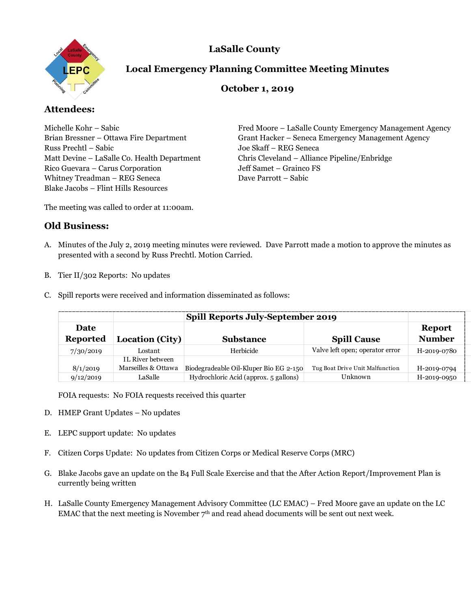**LaSalle County** 



# **Local Emergency Planning Committee Meeting Minutes**

## **October 1, 2019**

# **Attendees:**

Russ Prechtl – Sabic Joe Skaff – REG Seneca Rico Guevara – Carus Corporation Jeff Samet – Grainco FS Whitney Treadman – REG Seneca Dave Parrott – Sabic Blake Jacobs – Flint Hills Resources

Michelle Kohr – Sabic Fred Moore – LaSalle County Emergency Management Agency Brian Bressner – Ottawa Fire Department Grant Hacker – Seneca Emergency Management Agency Matt Devine – LaSalle Co. Health Department Chris Cleveland – Alliance Pipeline/Enbridge

The meeting was called to order at 11:00am.

### **Old Business:**

- A. Minutes of the July 2, 2019 meeting minutes were reviewed. Dave Parrott made a motion to approve the minutes as presented with a second by Russ Prechtl. Motion Carried.
- B. Tier II/302 Reports: No updates
- C. Spill reports were received and information disseminated as follows:

|                                | <b>Spill Reports July-September 2019</b>       |                                        |                                 |                                |
|--------------------------------|------------------------------------------------|----------------------------------------|---------------------------------|--------------------------------|
| <b>Date</b><br><b>Reported</b> | Location (City)                                | <b>Substance</b>                       | <b>Spill Cause</b>              | <b>Report</b><br><b>Number</b> |
| 7/30/2019                      | Lostant                                        | Herbicide                              | Valve left open; operator error | H-2019-0780                    |
| 8/1/2019                       | <b>IL River between</b><br>Marseilles & Ottawa | Biodegradeable Oil-Kluper Bio EG 2-150 | Tug Boat Drive Unit Malfunction | H-2019-0794                    |
| 9/12/2019                      | LaSalle-                                       | Hydrochloric Acid (approx. 5 gallons)  | Unknown                         | H-2019-0950                    |

FOIA requests: No FOIA requests received this quarter

- D. HMEP Grant Updates No updates
- E. LEPC support update: No updates
- F. Citizen Corps Update: No updates from Citizen Corps or Medical Reserve Corps (MRC)
- G. Blake Jacobs gave an update on the B4 Full Scale Exercise and that the After Action Report/Improvement Plan is currently being written
- H. LaSalle County Emergency Management Advisory Committee (LC EMAC) Fred Moore gave an update on the LC EMAC that the next meeting is November  $7<sup>th</sup>$  and read ahead documents will be sent out next week.